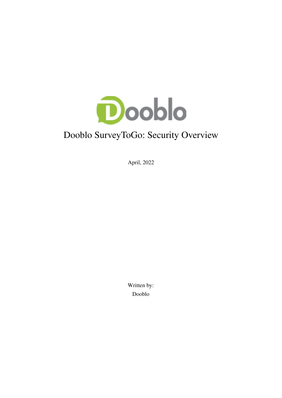

# Dooblo SurveyToGo: Security Overview

April, 2022

Written by: Dooblo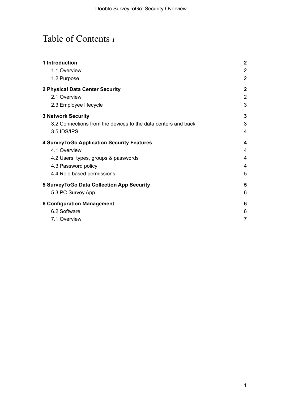# Table of Contents **<sup>1</sup>**

| 1 Introduction                                                | $\boldsymbol{2}$ |
|---------------------------------------------------------------|------------------|
| 1.1 Overview                                                  | $\overline{2}$   |
| 1.2 Purpose                                                   | $\overline{2}$   |
| 2 Physical Data Center Security                               | $\boldsymbol{2}$ |
| 2.1 Overview                                                  | $\overline{2}$   |
| 2.3 Employee lifecycle                                        | 3                |
| <b>3 Network Security</b>                                     | 3                |
| 3.2 Connections from the devices to the data centers and back | 3                |
| 3.5 IDS/IPS                                                   | 4                |
| 4 Survey To Go Application Security Features                  | 4                |
| 4.1 Overview                                                  | 4                |
| 4.2 Users, types, groups & passwords                          | 4                |
| 4.3 Password policy                                           | 4                |
| 4.4 Role based permissions                                    | 5                |
| 5 Survey To Go Data Collection App Security                   | 5                |
| 5.3 PC Survey App                                             | 6                |
| <b>6 Configuration Management</b>                             | 6                |
| 6.2 Software                                                  | 6                |
| 7.1 Overview                                                  | $\overline{7}$   |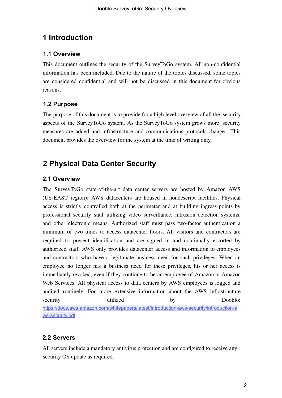# <span id="page-2-0"></span>**1 Introduction**

# <span id="page-2-1"></span>**1.1 Overview**

This document outlines the security of the SurveyToGo system. All non-confidential information has been included. Due to the nature of the topics discussed, some topics are considered confidential and will not be discussed in this document for obvious reasons.

# <span id="page-2-2"></span>**1.2 Purpose**

The purpose of this document is to provide for a high level overview of all the security aspects of the SurveyToGo system. As the SurveyToGo system grows more security measures are added and infrastructure and communications protocols change. This document provides the overview for the system at the time of writing only.

# <span id="page-2-3"></span>**2 Physical Data Center Security**

# <span id="page-2-4"></span>**2.1 Overview**

The SurveyToGo state-of-the-art data center servers are hosted by Amazon AWS (US-EAST region): AWS datacenters are housed in nondescript facilities. Physical access is strictly controlled both at the perimeter and at building ingress points by professional security staff utilizing video surveillance, intrusion detection systems, and other electronic means. Authorized staff must pass two-factor authentication a minimum of two times to access datacenter floors. All visitors and contractors are required to present identification and are signed in and continually escorted by authorized staff. AWS only provides datacenter access and information to employees and contractors who have a legitimate business need for such privileges. When an employee no longer has a business need for these privileges, his or her access is immediately revoked, even if they continue to be an employee of Amazon or Amazon Web Services. All physical access to data centers by AWS employees is logged and audited routinely. For more extensive information about the AWS infrastructure security utilized by Dooblo: [https://docs.aws.amazon.com/whitepapers/latest/introduction-aws-security/introduction-a](https://docs.aws.amazon.com/whitepapers/latest/introduction-aws-security/introduction-aws-security.pdf) [ws-security.pdf](https://docs.aws.amazon.com/whitepapers/latest/introduction-aws-security/introduction-aws-security.pdf)

# **2.2 Servers**

All servers include a mandatory antivirus protection and are configured to receive any security OS update as required.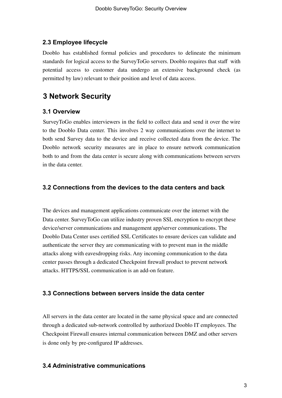### <span id="page-3-0"></span>**2.3 Employee lifecycle**

Dooblo has established formal policies and procedures to delineate the minimum standards for logical access to the SurveyToGo servers. Dooblo requires that staff with potential access to customer data undergo an extensive background check (as permitted by law) relevant to their position and level of data access.

# <span id="page-3-1"></span>**3 Network Security**

### **3.1 Overview**

SurveyToGo enables interviewers in the field to collect data and send it over the wire to the Dooblo Data center. This involves 2 way communications over the internet to both send Survey data to the device and receive collected data from the device. The Dooblo network security measures are in place to ensure network communication both to and from the data center is secure along with communications between servers in the data center.

## <span id="page-3-2"></span>**3.2 Connections from the devices to the data centers and back**

The devices and management applications communicate over the internet with the Data center. SurveyToGo can utilize industry proven SSL encryption to encrypt these device/server communications and management app/server communications. The Dooblo Data Center uses certified SSL Certificates to ensure devices can validate and authenticate the server they are communicating with to prevent man in the middle attacks along with eavesdropping risks. Any incoming communication to the data center passes through a dedicated Checkpoint firewall product to prevent network attacks. HTTPS/SSL communication is an add-on feature.

### **3.3 Connections between servers inside the data center**

All servers in the data center are located in the same physical space and are connected through a dedicated sub-network controlled by authorized Dooblo IT employees. The Checkpoint Firewall ensures internal communication between DMZ and other servers is done only by pre-configured IP addresses.

### **3.4 Administrative communications**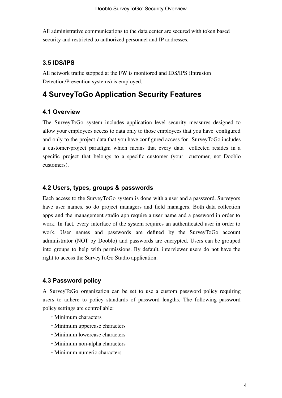All administrative communications to the data center are secured with token based security and restricted to authorized personnel and IP addresses.

### <span id="page-4-0"></span>**3.5 IDS/IPS**

All network traffic stopped at the FW is monitored and IDS/IPS (Intrusion Detection/Prevention systems) is employed.

# <span id="page-4-1"></span>**4 SurveyToGo Application Security Features**

#### <span id="page-4-2"></span>**4.1 Overview**

The SurveyToGo system includes application level security measures designed to allow your employees access to data only to those employees that you have configured and only to the project data that you have configured access for. SurveyToGo includes a customer-project paradigm which means that every data collected resides in a specific project that belongs to a specific customer (your customer, not Dooblo customers).

#### <span id="page-4-3"></span>**4.2 Users, types, groups & passwords**

Each access to the SurveyToGo system is done with a user and a password. Surveyors have user names, so do project managers and field managers. Both data collection apps and the management studio app require a user name and a password in order to work. In fact, every interface of the system requires an authenticated user in order to work. User names and passwords are defined by the SurveyToGo account administrator (NOT by Dooblo) and passwords are encrypted. Users can be grouped into groups to help with permissions. By default, interviewer users do not have the right to access the SurveyToGo Studio application.

#### <span id="page-4-4"></span>**4.3 Password policy**

A SurveyToGo organization can be set to use a custom password policy requiring users to adhere to policy standards of password lengths. The following password policy settings are controllable:

- ∙ Minimum characters
- ∙ Minimum uppercase characters
- ∙ Minimum lowercase characters
- ∙ Minimum non-alpha characters
- ∙ Minimum numeric characters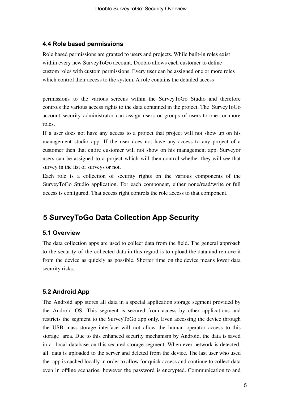#### <span id="page-5-0"></span>**4.4 Role based permissions**

Role based permissions are granted to users and projects. While built-in roles exist within every new SurveyToGo account, Dooblo allows each customer to define custom roles with custom permissions. Every user can be assigned one or more roles which control their access to the system. A role contains the detailed access

permissions to the various screens within the SurveyToGo Studio and therefore controls the various access rights to the data contained in the project. The SurveyToGo account security administrator can assign users or groups of users to one or more roles.

If a user does not have any access to a project that project will not show up on his management studio app. If the user does not have any access to any project of a customer then that entire customer will not show on his management app. Surveyor users can be assigned to a project which will then control whether they will see that survey in the list of surveys or not.

Each role is a collection of security rights on the various components of the SurveyToGo Studio application. For each component, either none/read/write or full access is configured. That access right controls the role access to that component.

# <span id="page-5-1"></span>**5 SurveyToGo Data Collection App Security**

#### **5.1 Overview**

The data collection apps are used to collect data from the field. The general approach to the security of the collected data in this regard is to upload the data and remove it from the device as quickly as possible. Shorter time on the device means lower data security risks.

### **5.2 Android App**

The Android app stores all data in a special application storage segment provided by the Android OS. This segment is secured from access by other applications and restricts the segment to the SurveyToGo app only. Even accessing the device through the USB mass-storage interface will not allow the human operator access to this storage area. Due to this enhanced security mechanism by Android, the data is saved in a local database on this secured storage segment. When-ever network is detected, all data is uploaded to the server and deleted from the device. The last user who used the app is cached locally in order to allow for quick access and continue to collect data even in offline scenarios, however the password is encrypted. Communication to and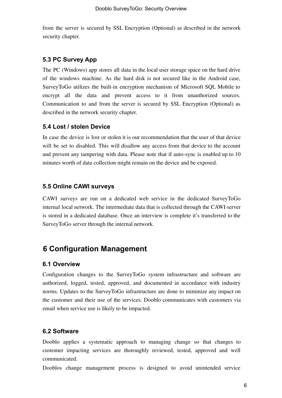from the server is secured by SSL Encryption (Optional) as described in the network security chapter.

#### <span id="page-6-0"></span>**5.3 PC Survey App**

The PC (Windows) app stores all data in the local user storage space on the hard drive of the windows machine. As the hard disk is not secured like in the Android case, SurveyToGo utilizes the built-in encryption mechanism of Microsoft SQL Mobile to encrypt all the data and prevent access to it from unauthorized sources. Communication to and from the server is secured by SSL Encryption (Optional) as described in the network security chapter.

#### **5.4 Lost / stolen Device**

In case the device is lost or stolen it is our recommendation that the user of that device will be set to disabled. This will disallow any access from that device to the account and prevent any tampering with data. Please note that if auto-sync is enabled up to 10 minutes worth of data collection might remain on the device and be exposed.

#### **5.5 Online CAWI surveys**

CAWI surveys are run on a dedicated web service in the dedicated SurveyToGo internal local network. The intermediate data that is collected through the CAWI server is stored in a dedicated database. Once an interview is complete it's transferred to the SurveyToGo server through the internal network.

# <span id="page-6-1"></span>**6 Configuration Management**

#### **6.1 Overview**

Configuration changes to the SurveyToGo system infrastructure and software are authorized, logged, tested, approved, and documented in accordance with industry norms. Updates to the SurveyToGo infrastructure are done to minimize any impact on the customer and their use of the services. Dooblo communicates with customers via email when service use is likely to be impacted.

#### <span id="page-6-2"></span>**6.2 Software**

Dooblo applies a systematic approach to managing change so that changes to customer impacting services are thoroughly reviewed, tested, approved and well communicated.

Dooblos change management process is designed to avoid unintended service